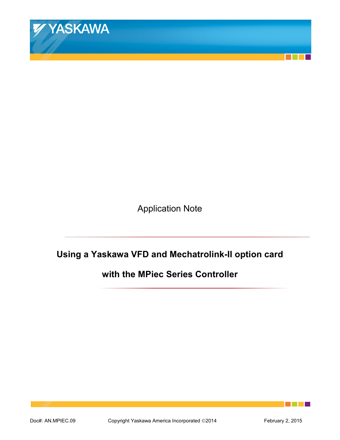

Application Note

# **Using a Yaskawa VFD and Mechatrolink-II option card**

**with the MPiec Series Controller** 

an an Indonesia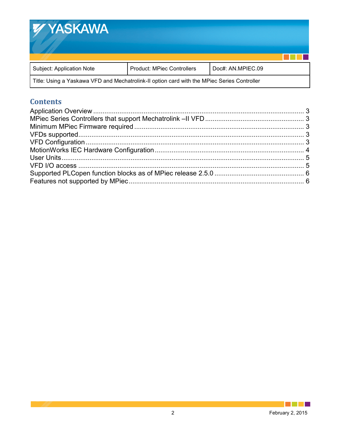

Title: Using a Yaskawa VFD and Mechatrolink-II option card with the MPiec Series Controller

# **Contents**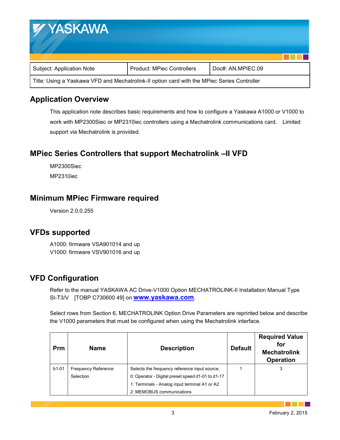| <b>WYASKAWA</b>                                                                             |                                   |                   |  |
|---------------------------------------------------------------------------------------------|-----------------------------------|-------------------|--|
| Subject: Application Note                                                                   | <b>Product: MPiec Controllers</b> | Doc#: AN.MPIEC.09 |  |
| Title: Using a Yaskawa VFD and Mechatrolink-II option card with the MPiec Series Controller |                                   |                   |  |

# **Application Overview**

This application note describes basic requirements and how to configure a Yaskawa A1000 or V1000 to work with MP2300Siec or MP2310iec controllers using a Mechatrolink communications card. Limited support via Mechatrolink is provided.

# **MPiec Series Controllers that support Mechatrolink –II VFD**

MP2300Siec MP2310iec

# **Minimum MPiec Firmware required**

Version 2.0.0.255

#### **VFDs supported**

A1000: firmware VSA901014 and up V1000: firmware VSV901016 and up

# **VFD Configuration**

Refer to the manual YASKAWA AC Drive-V1000 Option MECHATROLINK-II Installation Manual Type SI-T3/V [TOBP C730600 49] on **www.yaskawa.com**.

Select rows from Section 6, MECHATROLINK Option Drive Parameters are reprinted below and describe the V1000 parameters that must be configured when using the Mechatrolink interface.

| Prm     | <b>Name</b>                | <b>Description</b>                                | <b>Default</b> | <b>Required Value</b><br>for<br><b>Mechatrolink</b><br><b>Operation</b> |
|---------|----------------------------|---------------------------------------------------|----------------|-------------------------------------------------------------------------|
| $b1-01$ | <b>Frequency Reference</b> | Selects the frequency reference input source.     |                | 3                                                                       |
|         | Selection                  | 0: Operator - Digital preset speed d1-01 to d1-17 |                |                                                                         |
|         |                            | 1: Terminals - Analog input terminal A1 or A2     |                |                                                                         |
|         |                            | 2: MEMOBUS communications                         |                |                                                                         |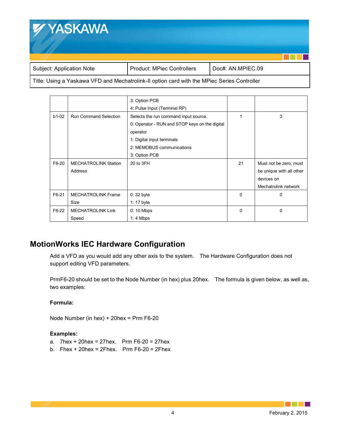

Title: Using a Yaskawa VFD and Mechatrolink-II option card with the MPiec Series Controller

|         |                              | 3: Option PCB                                  |          |                          |
|---------|------------------------------|------------------------------------------------|----------|--------------------------|
|         |                              | 4: Pulse Input (Terminal RP)                   |          |                          |
| $b1-02$ | <b>Run Command Selection</b> | Selects the run command input source.          |          | 3                        |
|         |                              | 0: Operator - RUN and STOP keys on the digital |          |                          |
|         |                              | operator                                       |          |                          |
|         |                              | 1: Digital input terminals                     |          |                          |
|         |                              | 2: MEMOBUS communications                      |          |                          |
|         |                              | 3: Option PCB                                  |          |                          |
| F6-20   | <b>MECHATROLINK Station</b>  | 20 to 3FH                                      | 21       | Must not be zero, must   |
|         | Address                      |                                                |          | be unique with all other |
|         |                              |                                                |          | devices on               |
|         |                              |                                                |          | Mechatrolink network     |
| F6-21   | <b>MECHATROLINK Frame</b>    | $0:32$ byte                                    | $\Omega$ | $\Omega$                 |
|         | <b>Size</b>                  | 1: 17 byte                                     |          |                          |
| F6-22   | <b>MECHATROLINK Link</b>     | $0:10$ Mbps                                    | $\Omega$ | $\Omega$                 |
|         | Speed                        | $1:4$ Mbps                                     |          |                          |

# **MotionWorks IEC Hardware Configuration**

Add a VFD as you would add any other axis to the system. The Hardware Configuration does not support editing VFD parameters.

PrmF6-20 should be set to the Node Number (in hex) plus 20hex. The formula is given below, as well as, two examples:

#### **Formula:**

Node Number (in hex) + 20hex = Prm F6-20

#### **Examples:**

- a.  $7$ hex + 20 hex = 27 hex. Prm F6-20 = 27 hex
- b. Fhex + 20 hex = 2 Fhex. Prm  $F6-20 = 2$  Fhex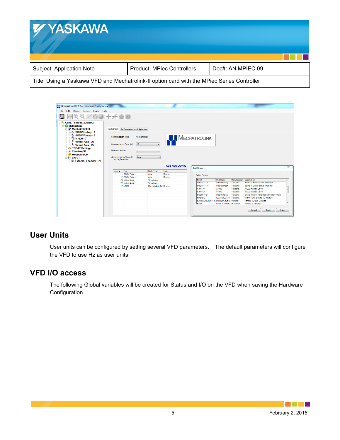

| Edit Device Tuning Online Help             |                                                |                 |                          |                       |                                                      |                        |                          |                                             |                          |
|--------------------------------------------|------------------------------------------------|-----------------|--------------------------|-----------------------|------------------------------------------------------|------------------------|--------------------------|---------------------------------------------|--------------------------|
|                                            | $100 + 100$                                    |                 |                          |                       |                                                      |                        |                          |                                             |                          |
| <b>E-3:</b> Cam Toolbox v205kh2            |                                                |                 |                          |                       |                                                      |                        |                          |                                             |                          |
| MyMachine<br>Mechatrolink-II               | Mechatrolink Set Parameters on Multiple Axes   |                 |                          |                       |                                                      |                        |                          |                                             |                          |
| <b>V</b> <sub>IV</sub> SGDV Rotary - 1     |                                                |                 |                          |                       |                                                      |                        |                          |                                             |                          |
| $\frac{1}{2}$ <sub>v</sub> SGDV Rotary - 2 |                                                |                 |                          |                       |                                                      |                        |                          |                                             |                          |
| " V1000 - 7                                | <b>Communication Type</b>                      | Mechatrolink II |                          |                       | MECHATROLINK                                         |                        |                          |                                             |                          |
| V Virtual Axis - 26                        |                                                |                 |                          |                       |                                                      |                        |                          |                                             |                          |
| $-V$ Virtual Axis - 27                     | Communication Cycle (ms)                       | 2.0             | $\cdot$                  |                       |                                                      |                        |                          |                                             |                          |
| <b>dia TCP/IP Settings</b>                 |                                                |                 |                          |                       |                                                      |                        |                          |                                             |                          |
|                                            |                                                |                 |                          |                       |                                                      |                        |                          |                                             |                          |
| <b>P</b> EtherNet/IP                       | <b>Maximum Retries</b>                         | $\blacksquare$  |                          |                       |                                                      |                        |                          |                                             |                          |
| <b>Modbus/TCP</b>                          |                                                |                 |                          |                       |                                                      |                        |                          |                                             |                          |
| $\approx 10-01$                            | Alam Format for Sigma III<br>and higher drives | 3 digit         |                          |                       |                                                      |                        |                          |                                             |                          |
| Fixternal Encoder - 21                     |                                                |                 |                          |                       |                                                      |                        |                          |                                             |                          |
|                                            |                                                |                 |                          | <b>Add New Device</b> |                                                      |                        |                          |                                             |                          |
|                                            | Part<br>Node #                                 |                 | Node Type                | Task                  | <b>Add Device</b>                                    |                        |                          |                                             |                          |
|                                            | 1 SGDV Rotary                                  |                 | Axis                     | Monitor               |                                                      |                        |                          |                                             |                          |
|                                            | 2 SGDV Rotary                                  |                 | Axis                     | Monitor               | <b>Select Device</b>                                 |                        |                          |                                             |                          |
|                                            | 26 Virtual Axis                                |                 | Virtual Axis             |                       | Part #                                               | Part Name              | Manufacturer Description |                                             |                          |
|                                            | 27 Virtual Axis                                |                 | <b>Virtual Axis</b>      |                       | SGDS-"12"                                            | <b>SGDS Rotary</b>     | Yaskawa                  | Sigma-III Rotary Servo Amplifier            |                          |
|                                            | 7 V1000                                        |                 | Mechatrolink Dr. Monitor |                       | SGDS-**15*                                           | SGDS Linear            | Yaskawa                  | Sigma-III Linear Servo Amplifier            |                          |
|                                            |                                                |                 |                          |                       | $CIMR-A+$                                            | A1000                  | Yaskawa                  | A1000 Inverter Drive                        |                          |
|                                            |                                                |                 |                          |                       | CIMR-V+                                              | V1000                  | Yaskawa                  | V1000 Inverter Drive                        |                          |
|                                            |                                                |                 |                          |                       | SGDH-""E+                                            | <b>SGDH Rotary</b>     | Yaskawa                  | Sigma-II Servo Amplifier with rotary motor  | $\overline{\phantom{a}}$ |
|                                            |                                                |                 |                          |                       | SimpleIO                                             | IO2310/IO2330 Yaskawa  |                          | 64 In/64 Out Sinking I/O Module             |                          |
|                                            |                                                |                 |                          |                       | ILMIIBKDI8DO4-PAC MII Bus Coupler Phoenix<br>$R7M +$ | R7MLI/O Modul M-System |                          | Remote I/O Bus Coupler<br>Remote I/O Module |                          |

#### **User Units**

User units can be configured by setting several VFD parameters. The default parameters will configure the VFD to use Hz as user units.

# **VFD I/O access**

The following Global variables will be created for Status and I/O on the VFD when saving the Hardware Configuration.